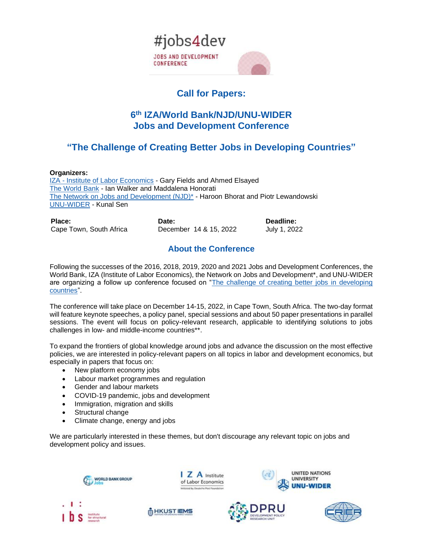

# **Call for Papers:**

## **6 th IZA/World Bank/NJD/UNU-WIDER Jobs and Development Conference**

# **"The Challenge of Creating Better Jobs in Developing Countries"**

#### **Organizers:**

IZA - [Institute of Labor Economics](https://nam03.safelinks.protection.outlook.com/?url=https%3A%2F%2Fwww.iza.org%2F&data=02%7C01%7Cymontoya%40worldbank.org%7C2e31b1c3a2fb44f4cf3608d77293097a%7C31a2fec0266b4c67b56e2796d8f59c36%7C0%7C0%7C637103848170215240&sdata=IqeeK54rkoBPyQ3HsAfJXdNr2vHNHK3tUCwEmQ7JijU%3D&reserved=0) - Gary Fields and Ahmed Elsayed [The World Bank](http://www.worldbank.org/) - Ian Walker and Maddalena Honorati [The Network on Jobs and Development \(NJD\)\\*](http://www.worldbank.org/en/topic/jobsanddevelopment/brief/network-on-jobs-and-development) - Haroon Bhorat and Piotr Lewandowski [UNU-WIDER](https://nam03.safelinks.protection.outlook.com/?url=https%3A%2F%2Fwww.wider.unu.edu%2F&data=02%7C01%7Cymontoya%40worldbank.org%7C2e31b1c3a2fb44f4cf3608d77293097a%7C31a2fec0266b4c67b56e2796d8f59c36%7C0%7C0%7C637103848170215240&sdata=XJT3KBwLekDR2KRMFQfYFAbBTIr6BBiVtqXMswTyw1g%3D&reserved=0) - Kunal Sen

| Place:                  | Date:                  | Deadline:    |
|-------------------------|------------------------|--------------|
| Cape Town, South Africa | December 14 & 15, 2022 | July 1, 2022 |

## **About the Conference**

Following the successes of the 2016, 2018, 2019, 2020 and 2021 Jobs and Development Conferences, the World Bank, IZA (Institute of Labor Economics), the Network on Jobs and Development\*, and UNU-WIDER are organizing a follow up conference focused on "The challenge of creating better jobs in developing [countries"](http://jobsanddevelopmentconference.org/).

The conference will take place on December 14-15, 2022, in Cape Town, South Africa. The two-day format will feature keynote speeches, a policy panel, special sessions and about 50 paper presentations in parallel sessions. The event will focus on policy-relevant research, applicable to identifying solutions to jobs challenges in low- and middle-income countries\*\*.

To expand the frontiers of global knowledge around jobs and advance the discussion on the most effective policies, we are interested in policy-relevant papers on all topics in labor and development economics, but especially in papers that focus on:

- New platform economy jobs
- Labour market programmes and regulation
- Gender and labour markets
- COVID-19 pandemic, jobs and development
- Immigration, migration and skills
- Structural change
- Climate change, energy and jobs

We are particularly interested in these themes, but don't discourage any relevant topic on jobs and development policy and issues.

I Z A Institute

of Labor Economics ted by Deutsche Post Found:











**UNITED NATIONS** 

**UNIVERSITY**